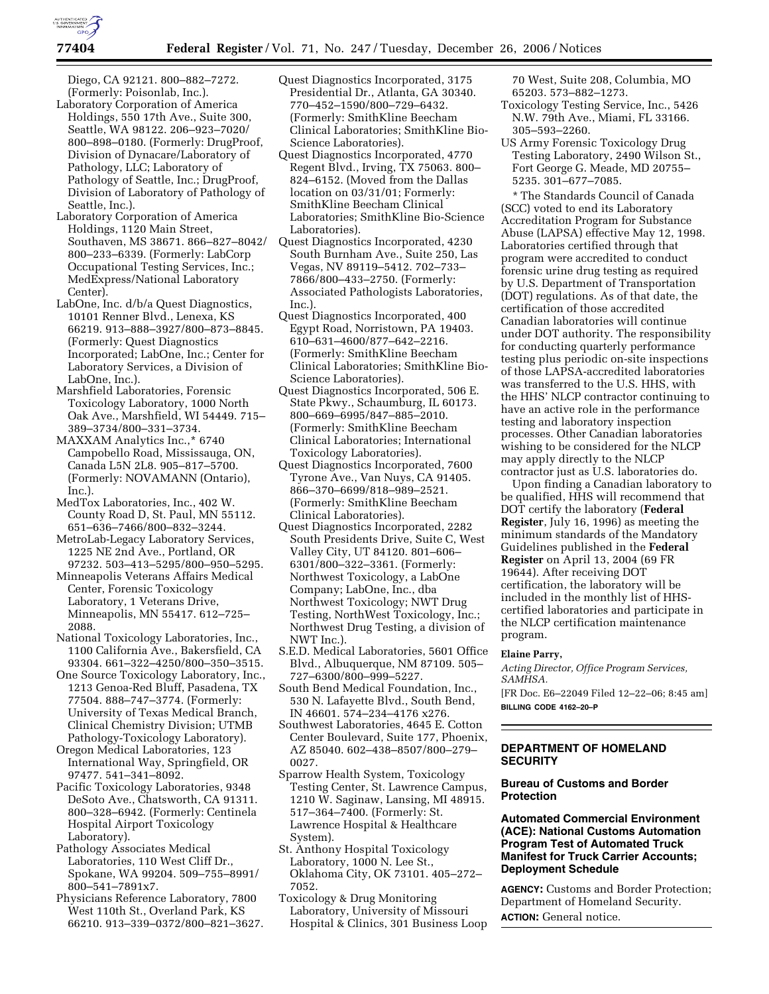

Diego, CA 92121. 800–882–7272. (Formerly: Poisonlab, Inc.).

- Laboratory Corporation of America Holdings, 550 17th Ave., Suite 300, Seattle, WA 98122. 206–923–7020/ 800–898–0180. (Formerly: DrugProof, Division of Dynacare/Laboratory of Pathology, LLC; Laboratory of Pathology of Seattle, Inc.; DrugProof, Division of Laboratory of Pathology of Seattle, Inc.).
- Laboratory Corporation of America Holdings, 1120 Main Street, Southaven, MS 38671. 866–827–8042/ 800–233–6339. (Formerly: LabCorp Occupational Testing Services, Inc.; MedExpress/National Laboratory Center).
- LabOne, Inc. d/b/a Quest Diagnostics, 10101 Renner Blvd., Lenexa, KS 66219. 913–888–3927/800–873–8845. (Formerly: Quest Diagnostics Incorporated; LabOne, Inc.; Center for Laboratory Services, a Division of LabOne, Inc.).
- Marshfield Laboratories, Forensic Toxicology Laboratory, 1000 North Oak Ave., Marshfield, WI 54449. 715– 389–3734/800–331–3734.
- MAXXAM Analytics Inc.,\* 6740 Campobello Road, Mississauga, ON, Canada L5N 2L8. 905–817–5700. (Formerly: NOVAMANN (Ontario), Inc.).
- MedTox Laboratories, Inc., 402 W. County Road D, St. Paul, MN 55112. 651–636–7466/800–832–3244.
- MetroLab-Legacy Laboratory Services, 1225 NE 2nd Ave., Portland, OR 97232. 503–413–5295/800–950–5295.
- Minneapolis Veterans Affairs Medical Center, Forensic Toxicology Laboratory, 1 Veterans Drive, Minneapolis, MN 55417. 612–725– 2088.
- National Toxicology Laboratories, Inc., 1100 California Ave., Bakersfield, CA 93304. 661–322–4250/800–350–3515.
- One Source Toxicology Laboratory, Inc., 1213 Genoa-Red Bluff, Pasadena, TX 77504. 888–747–3774. (Formerly: University of Texas Medical Branch, Clinical Chemistry Division; UTMB Pathology-Toxicology Laboratory).
- Oregon Medical Laboratories, 123 International Way, Springfield, OR 97477. 541–341–8092.
- Pacific Toxicology Laboratories, 9348 DeSoto Ave., Chatsworth, CA 91311. 800–328–6942. (Formerly: Centinela Hospital Airport Toxicology Laboratory).
- Pathology Associates Medical Laboratories, 110 West Cliff Dr., Spokane, WA 99204. 509–755–8991/ 800–541–7891x7.
- Physicians Reference Laboratory, 7800 West 110th St., Overland Park, KS 66210. 913–339–0372/800–821–3627.
- Quest Diagnostics Incorporated, 3175 Presidential Dr., Atlanta, GA 30340. 770–452–1590/800–729–6432. (Formerly: SmithKline Beecham Clinical Laboratories; SmithKline Bio-Science Laboratories).
- Quest Diagnostics Incorporated, 4770 Regent Blvd., Irving, TX 75063. 800– 824–6152. (Moved from the Dallas location on 03/31/01; Formerly: SmithKline Beecham Clinical Laboratories; SmithKline Bio-Science Laboratories).
- Quest Diagnostics Incorporated, 4230 South Burnham Ave., Suite 250, Las Vegas, NV 89119–5412. 702–733– 7866/800–433–2750. (Formerly: Associated Pathologists Laboratories, Inc.).
- Quest Diagnostics Incorporated, 400 Egypt Road, Norristown, PA 19403. 610–631–4600/877–642–2216. (Formerly: SmithKline Beecham Clinical Laboratories; SmithKline Bio-Science Laboratories).
- Quest Diagnostics Incorporated, 506 E. State Pkwy., Schaumburg, IL 60173. 800–669–6995/847–885–2010. (Formerly: SmithKline Beecham Clinical Laboratories; International Toxicology Laboratories).
- Quest Diagnostics Incorporated, 7600 Tyrone Ave., Van Nuys, CA 91405. 866–370–6699/818–989–2521. (Formerly: SmithKline Beecham Clinical Laboratories).
- Quest Diagnostics Incorporated, 2282 South Presidents Drive, Suite C, West Valley City, UT 84120. 801–606– 6301/800–322–3361. (Formerly: Northwest Toxicology, a LabOne Company; LabOne, Inc., dba Northwest Toxicology; NWT Drug Testing, NorthWest Toxicology, Inc.; Northwest Drug Testing, a division of NWT Inc.).
- S.E.D. Medical Laboratories, 5601 Office Blvd., Albuquerque, NM 87109. 505– 727–6300/800–999–5227.
- South Bend Medical Foundation, Inc., 530 N. Lafayette Blvd., South Bend, IN 46601. 574–234–4176 x276.
- Southwest Laboratories, 4645 E. Cotton Center Boulevard, Suite 177, Phoenix, AZ 85040. 602–438–8507/800–279– 0027.
- Sparrow Health System, Toxicology Testing Center, St. Lawrence Campus, 1210 W. Saginaw, Lansing, MI 48915. 517–364–7400. (Formerly: St. Lawrence Hospital & Healthcare System).
- St. Anthony Hospital Toxicology Laboratory, 1000 N. Lee St., Oklahoma City, OK 73101. 405–272– 7052.
- Toxicology & Drug Monitoring Laboratory, University of Missouri Hospital & Clinics, 301 Business Loop

70 West, Suite 208, Columbia, MO 65203. 573–882–1273.

- Toxicology Testing Service, Inc., 5426 N.W. 79th Ave., Miami, FL 33166. 305–593–2260.
- US Army Forensic Toxicology Drug Testing Laboratory, 2490 Wilson St., Fort George G. Meade, MD 20755– 5235. 301–677–7085.

\* The Standards Council of Canada (SCC) voted to end its Laboratory Accreditation Program for Substance Abuse (LAPSA) effective May 12, 1998. Laboratories certified through that program were accredited to conduct forensic urine drug testing as required by U.S. Department of Transportation (DOT) regulations. As of that date, the certification of those accredited Canadian laboratories will continue under DOT authority. The responsibility for conducting quarterly performance testing plus periodic on-site inspections of those LAPSA-accredited laboratories was transferred to the U.S. HHS, with the HHS' NLCP contractor continuing to have an active role in the performance testing and laboratory inspection processes. Other Canadian laboratories wishing to be considered for the NLCP may apply directly to the NLCP contractor just as U.S. laboratories do.

Upon finding a Canadian laboratory to be qualified, HHS will recommend that DOT certify the laboratory (**Federal Register**, July 16, 1996) as meeting the minimum standards of the Mandatory Guidelines published in the **Federal Register** on April 13, 2004 (69 FR 19644). After receiving DOT certification, the laboratory will be included in the monthly list of HHScertified laboratories and participate in the NLCP certification maintenance program.

# **Elaine Parry,**

*Acting Director, Office Program Services, SAMHSA.*  [FR Doc. E6–22049 Filed 12–22–06; 8:45 am]

**BILLING CODE 4162–20–P** 

# **DEPARTMENT OF HOMELAND SECURITY**

## **Bureau of Customs and Border Protection**

**Automated Commercial Environment (ACE): National Customs Automation Program Test of Automated Truck Manifest for Truck Carrier Accounts; Deployment Schedule** 

**AGENCY:** Customs and Border Protection; Department of Homeland Security. **ACTION:** General notice.